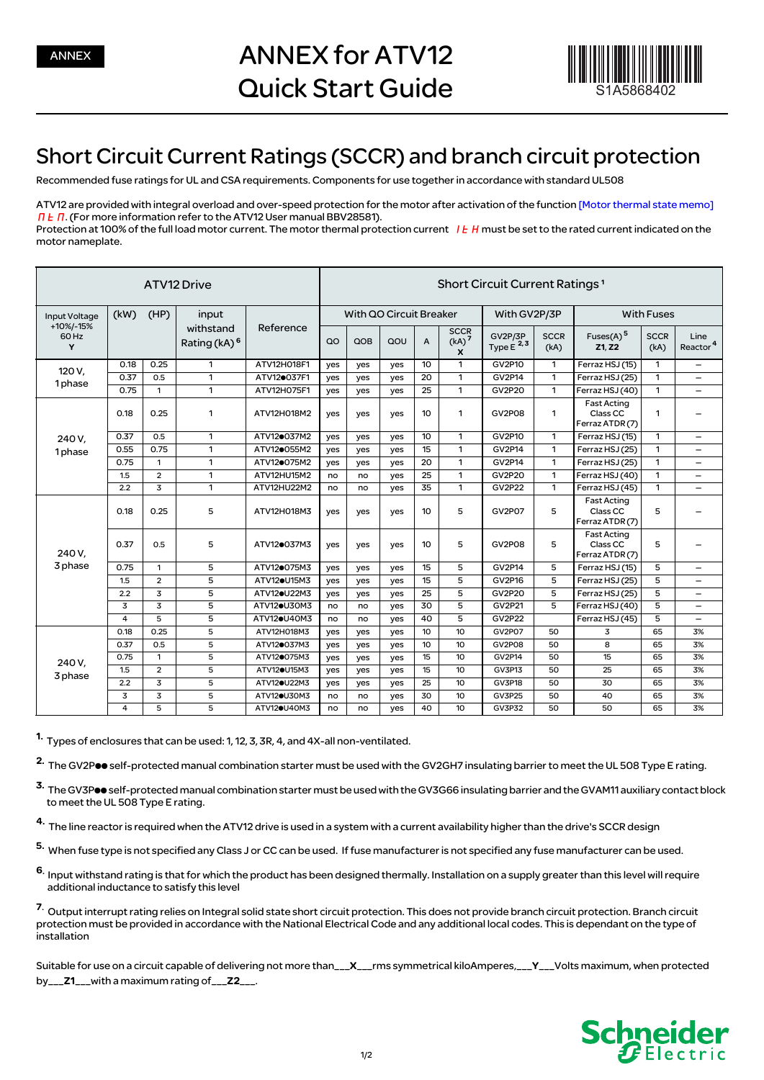

## Short Circuit Current Ratings (SCCR) and branch circuit protection

Recommended fuse ratings for UL and CSA requirements. Components for use together in accordance with standard UL508

ATV12 are provided with integral overload and over-speed protection for the motor after activation of the function [Motor thermal state memo]  $\Pi$   $\overline{E}$   $\Pi$ . (For more information refer to the ATV12 User manual BBV28581). Protection at 100% of the full load motor current. The motor thermal protection current  $I E H$  must be set to the rated current indicated on the motor nameplate.

| ATV12 Drive                                     |      |                |                                       |                          |                         | Short Circuit Current Ratings <sup>1</sup> |     |                |                                                      |                           |                     |                                                              |                     |                              |  |
|-------------------------------------------------|------|----------------|---------------------------------------|--------------------------|-------------------------|--------------------------------------------|-----|----------------|------------------------------------------------------|---------------------------|---------------------|--------------------------------------------------------------|---------------------|------------------------------|--|
| <b>Input Voltage</b><br>+10%/-15%<br>60 Hz<br>Y | (kW) | (HP)           | input                                 |                          | With QO Circuit Breaker |                                            |     |                |                                                      | With GV2P/3P              |                     | <b>With Fuses</b>                                            |                     |                              |  |
|                                                 |      |                | withstand<br>Rating (kA) <sup>6</sup> | Reference                | $\Omega$                | QOB                                        | QOU | $\overline{A}$ | <b>SCCR</b><br>(kA) <sup>7</sup><br>$\boldsymbol{x}$ | GV2P/3P<br>Type $E^{2,3}$ | <b>SCCR</b><br>(kA) | Fuses(A) <sup>5</sup><br>Z1. Z2                              | <b>SCCR</b><br>(kA) | Line<br>Reactor <sup>4</sup> |  |
| 120 V.<br>1phase                                | 0.18 | 0.25           | 1                                     | ATV12H018F1              | yes                     | yes                                        | yes | 10             | 1                                                    | <b>GV2P10</b>             | 1                   | Ferraz HSJ (15)                                              | $\mathbf{1}$        | -                            |  |
|                                                 | 0.37 | 0.5            | 1                                     | ATV120037F1              | yes                     | yes                                        | yes | 20             | 1                                                    | GV2P14                    | $\mathbf{1}$        | Ferraz HSJ (25)                                              | $\mathbf{1}$        | $\overline{\phantom{0}}$     |  |
|                                                 | 0.75 | $\mathbf{1}$   | $\mathbf{1}$                          | ATV12H075F1              | yes                     | yes                                        | yes | 25             | 1                                                    | <b>GV2P20</b>             | $\mathbf{1}$        | Ferraz HSJ (40)                                              | $\mathbf{1}$        | $\overline{\phantom{0}}$     |  |
| 240 V.<br>1phase                                | 0.18 | 0.25           | 1                                     | ATV12H018M2              | yes                     | yes                                        | yes | 10             | 1                                                    | <b>GV2P08</b>             | $\mathbf{1}$        | <b>Fast Acting</b><br>Class CC<br>Ferraz ATDR (7)            | 1                   |                              |  |
|                                                 | 0.37 | 0.5            | 1                                     | ATV120037M2              | yes                     | yes                                        | yes | 10             | $\mathbf{1}$                                         | GV2P10                    | $\mathbf{1}$        | Ferraz HSJ (15)                                              | $\mathbf{1}$        | $\overline{\phantom{0}}$     |  |
|                                                 | 0.55 | 0.75           | $\mathbf{1}$                          | ATV120055M2              | yes                     | yes                                        | yes | 15             | $\mathbf{1}$                                         | GV2P14                    | $\mathbf{1}$        | Ferraz HSJ (25)                                              | $\mathbf{1}$        | $\qquad \qquad \qquad$       |  |
|                                                 | 0.75 | $\mathbf{1}$   | 1                                     | ATV120075M2              | yes                     | yes                                        | yes | 20             | 1                                                    | <b>GV2P14</b>             | $\mathbf{1}$        | Ferraz HSJ (25)                                              | $\mathbf{1}$        | $\overline{\phantom{0}}$     |  |
|                                                 | 1.5  | $\overline{2}$ | $\mathbf{1}$                          | ATV12HU15M2              | no                      | no                                         | yes | 25             | 1                                                    | <b>GV2P20</b>             | $\mathbf{1}$        | Ferraz HSJ (40)                                              | 1                   | —                            |  |
|                                                 | 2.2  | 3              | $\mathbf{1}$                          | ATV12HU22M2              | no                      | no                                         | yes | 35             | 1                                                    | <b>GV2P22</b>             | $\mathbf{1}$        | Ferraz HSJ (45)                                              | $\mathbf{1}$        | $\overline{\phantom{0}}$     |  |
| 240 V.<br>3 phase                               | 0.18 | 0.25           | 5                                     | ATV12H018M3              | yes                     | yes                                        | yes | 10             | 5                                                    | <b>GV2P07</b>             | 5                   | <b>Fast Acting</b><br>Class CC<br>Ferraz ATDR (7)            | 5                   |                              |  |
|                                                 | 0.37 | 0.5            | 5                                     | ATV120037M3              | yes                     | yes                                        | yes | 10             | 5                                                    | <b>GV2P08</b>             | 5                   | <b>Fast Acting</b><br>Class <sub>CC</sub><br>Ferraz ATDR (7) | 5                   |                              |  |
|                                                 | 0.75 | 1              | 5                                     | ATV120075M3              | yes                     | yes                                        | yes | 15             | 5                                                    | GV2P14                    | 5                   | Ferraz HSJ (15)                                              | 5                   |                              |  |
|                                                 | 1.5  | $\overline{a}$ | 5                                     | ATV12 <sup>eU15M3</sup>  | yes                     | yes                                        | yes | 15             | 5                                                    | GV2P16                    | 5                   | Ferraz HSJ (25)                                              | 5                   | $\overline{\phantom{0}}$     |  |
|                                                 | 2.2  | 3              | 5                                     | ATV12 <sup>O</sup> U22M3 | yes                     | yes                                        | yes | 25             | 5                                                    | <b>GV2P20</b>             | 5                   | Ferraz HSJ (25)                                              | 5                   | $\overline{\phantom{0}}$     |  |
|                                                 | 3    | 3              | 5                                     | ATV12·U30M3              | no                      | no                                         | yes | 30             | 5                                                    | GV2P21                    | 5                   | Ferraz HSJ (40)                                              | 5                   | $\overline{\phantom{0}}$     |  |
|                                                 | 4    | 5              | 5                                     | ATV12 <sup>OU40M3</sup>  | no                      | no                                         | yes | 40             | 5                                                    | <b>GV2P22</b>             |                     | Ferraz HSJ (45)                                              | 5                   | $\overline{\phantom{0}}$     |  |
| 240 V.<br>3 phase                               | 0.18 | 0.25           | 5                                     | ATV12H018M3              | yes                     | yes                                        | yes | 10             | 10                                                   | <b>GV2P07</b>             | 50                  | 3                                                            | 65                  | 3%                           |  |
|                                                 | 0.37 | 0.5            | 5                                     | ATV120037M3              | yes                     | yes                                        | yes | 10             | 10                                                   | <b>GV2P08</b>             | 50                  | 8                                                            | 65                  | 3%                           |  |
|                                                 | 0.75 | 1              | 5                                     | ATV120075M3              | yes                     | yes                                        | yes | 15             | 10                                                   | GV2P14                    | 50                  | 15                                                           | 65                  | 3%                           |  |
|                                                 | 1.5  | $\overline{2}$ | 5                                     | ATV12 <sup>OU15M3</sup>  | yes                     | yes                                        | yes | 15             | 10                                                   | GV3P13                    | 50                  | 25                                                           | 65                  | 3%                           |  |
|                                                 | 2.2  | $\overline{3}$ | 5                                     | ATV12 <sup>O</sup> U22M3 | yes                     | yes                                        | yes | 25             | 10                                                   | GV3P18                    | 50                  | 30                                                           | 65                  | 3%                           |  |
|                                                 | 3    | 3              | 5                                     | ATV12 <sup>OU30M3</sup>  | no                      | no                                         | yes | 30             | 10                                                   | <b>GV3P25</b>             | 50                  | 40                                                           | 65                  | 3%                           |  |
|                                                 | 4    | 5              | 5                                     | ATV12 <sup>OU40M3</sup>  | no                      | no                                         | yes | 40             | 10                                                   | <b>GV3P32</b>             | 50                  | 50                                                           | 65                  | 3%                           |  |

1. Types of enclosures that can be used: 1, 12, 3, 3R, 4, and 4X-all non-ventilated.

2. The GV2Poo self-protected manual combination starter must be used with the GV2GH7 insulating barrier to meet the UL 508 Type E rating.

3. The GV3Poo self-protected manual combination starter must be used with the GV3G66 insulating barrier and the GVAM11 auxiliary contact block to meet the UL 508 Type E rating.

4. The line reactor is required when the ATV12 drive is used in a system with a current availability higher than the drive's SCCR design

5. When fuse type is not specified any Class J or CC can be used. If fuse manufacturer is not specified any fuse manufacturer can be used.

6. Input withstand rating is that for which the product has been designed thermally. Installation on a supply greater than this level will require additional inductance to satisfy this level

7. Output interrupt rating relies on Integral solid state short circuit protection. This does not provide branch circuit protection. Branch circuit protection must be provided in accordance with the National Electrical Code and any additional local codes. This is dependant on the type of .<br>installation

Suitable for use on a circuit capable of delivering not more than\_\_\_X\_\_\_rms symmetrical kiloAmperes,\_\_\_Y\_\_\_Volts maximum, when protected by\_\_\_Z1\_\_\_with a maximum rating of\_\_\_Z2\_\_\_.